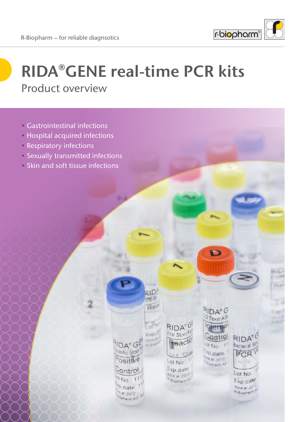

D

RIDA®G CD Toxin AB

nterna

ontro

 $01 N<sub>0</sub>$ :  $11$ 

<sup>v</sup>D date

RIDA

Bacterial SI

PCR

Lot No.

Exp.date

Store at -20" R-Biopharm

# **RIDA**®**GENE real-time PCR kits** Product overview

 $\overline{Re}$ 

E u Ci

 $DA^{\circ}G$ 

asitic Stoo

Ositive

Ontro

<sup>ot</sup> No.:  $11$ 

<sup>p</sup>.date

<sup>4</sup> at -20°C Opharm AG  $RIDA^{\circ}$ 

Viral Stool Pa

Reactio

Lot No.<sup>1</sup> Exp date

Store at -20<sup>-C</sup>

Biopharm<sup>A</sup>

- Gastrointestinal infections
- Hospital acquired infections
- Respiratory infections
- Sexually transmitted infections
- Skin and soft tissue infections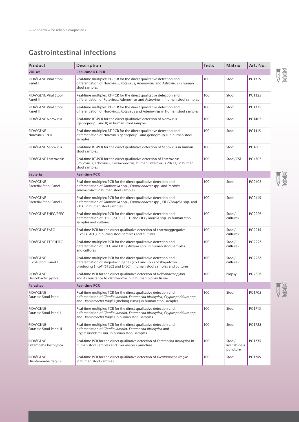## **Gastrointestinal infections**

| <b>Product</b>                            | Description                                                                                                                                                                                                            | <b>Tests</b> | Matrix                              | Art. No.      |
|-------------------------------------------|------------------------------------------------------------------------------------------------------------------------------------------------------------------------------------------------------------------------|--------------|-------------------------------------|---------------|
| <b>Viruses</b>                            | <b>Real-time RT-PCR</b>                                                                                                                                                                                                |              |                                     |               |
| RIDA®GENE Viral Stool<br>Panel I          | Real-time multiplex RT-PCR for the direct qualitative detection and<br>differentiation of Norovirus, Rotavirus, Adenovirus and Astrovirus in human<br>stool samples                                                    | 100          | Stool                               | PG1315        |
| RIDA®GENE Viral Stool<br>Panel II         | Real-time multiplex RT-PCR for the direct qualitative detection and<br>differentiation of Rotavirus, Adenovirus and Astrovirus in human stool samples                                                                  | 100          | Stool                               | PG1325        |
| RIDA®GENE Viral Stool<br>Panel III        | Real-time multiplex RT-PCR for the direct qualitative detection and<br>differentiation of Norovirus, Rotavirus and Adenovirus in human stool samples                                                                   | 100          | Stool                               | PG1335        |
| <b>RIDA®GENE Norovirus</b>                | Real-time RT-PCR for the direct qualitative detection of Norovirus<br>(genogroup I and II) in human stool samples                                                                                                      | 100          | Stool                               | PG1405        |
| RIDA®GENE<br>Norovirus I & II             | Real-time multiplex RT-PCR for the direct qualitative detection and<br>differentiation of Norovirus genogroup I and genogroup II in human stool<br>samples                                                             | 100          | Stool                               | PG1415        |
| RIDA®GENE Sapovirus                       | Real-time RT-PCR for the direct qualitative detection of Sapovirus in human<br>stool samples                                                                                                                           | 100          | Stool                               | PG1605        |
| <b>RIDA®GENE Enterovirus</b>              | Real-time RT-PCR for the direct qualitative detection of Enterovirus<br>(Poliovirus, Echovirus, Coxsackievirus, human Enterovirus 70/71) in human<br>stool samples                                                     | 100          | Stool/CSF                           | <b>PG4705</b> |
| <b>Bacteria</b>                           | <b>Real-time PCR</b>                                                                                                                                                                                                   |              |                                     |               |
| RIDA®GENE<br><b>Bacterial Stool Panel</b> | Real-time multiplex PCR for the direct qualitative detection and<br>differentiation of Salmonella spp., Campylobacter spp. and Yersinia<br>enterocolitica in human stool samples                                       | 100          | Stool                               | PG2405        |
| RIDA®GENE<br>Bacterial Stool Panel I      | Real-time multiplex PCR for the direct qualitative detection and<br>differentiation of Salmonella spp., Campylobacter spp., EIEC/Shigella spp. and<br>STEC in human stool samples                                      | 100          | Stool                               | PG2415        |
| RIDA®GENE EHEC/EPEC                       | Real-time multiplex PCR for the direct qualitative detection and<br>differentiation of EHEC, STEC, EPEC and EIEC/Shigella spp. in human stool<br>samples and cultures                                                  | 100          | Stool/<br>cultures                  | PG2205        |
| RIDA®GENE EAEC                            | Real-time PCR for the direct qualitative detection of enteroaggregative<br>E. coli (EAEC) in human stool samples and cultures                                                                                          | 100          | Stool/<br>cultures                  | PG2215        |
| RIDA®GENE ETEC/EIEC                       | Real-time multiplex PCR for the direct qualitative detection and<br>differentiation of ETEC and EIEC/Shigella spp. in human stool samples<br>and cultures                                                              | 100          | Stool/<br>cultures                  | PG2225        |
| RIDA®GENE<br>E. coli Stool Panel I        | Real-time multiplex PCR for the direct qualitative detection and<br>differentiation of shiga-toxin genes (stx1 and stx2) of shiga-toxin<br>producing E. coli (STEC) and EPEC in human stool samples and cultures       | 100          | Stool/<br>cultures                  | PG2285        |
| RIDA®GENE<br>Helicobacter pylori          | Real-time PCR for the direct qualitative detection of Helicobacter pylori<br>and its resistance to clarithromycin in human biopsy tissue                                                                               | 100          | <b>Biopsy</b>                       | PG2305        |
| <b>Parasites</b>                          | <b>Real-time PCR</b>                                                                                                                                                                                                   |              |                                     |               |
| RIDA®GENE<br>Parasitic Stool Panel        | Real-time multiplex PCR for the direct qualitative detection and<br>differentiation of Giardia lamblia, Entamoeba histolytica, Cryptosporidium spp.<br>and Dientamoeba fragilis (melting curve) in human stool samples | 100          | Stool                               | PG1705        |
| RIDA®GENE<br>Parasitic Stool Panel I      | Real-time multiplex PCR for the direct qualitative detection and<br>differentiation of Giardia lamblia, Entamoeba histolytica, Cryptosporidium spp.<br>and Dientamoeba fragilis in human stool samples                 | 100          | Stool                               | PG1715        |
| RIDA®GENE<br>Parasitic Stool Panel II     | Real-time multiplex PCR for the direct qualitative detection and<br>differentiation of Giardia lamblia, Entamoeba histolytica and<br>Cryptosporidium spp. in human stool samples                                       | 100          | Stool                               | PG1725        |
| RIDA®GENE<br>Entamoeba histolytica        | Real-time PCR for the direct qualitative detection of Entamoeba histolytica in<br>human stool samples and liver abscess puncture                                                                                       | 100          | Stool/<br>liver abscess<br>puncture | PG1735        |
| RIDA®GENE<br>Dientamoeba fragilis         | Real-time PCR for the direct qualitative detection of Dientamoeba fragilis<br>in human stool samples                                                                                                                   | 100          | Stool                               | PG1745        |

JAK

JA

JS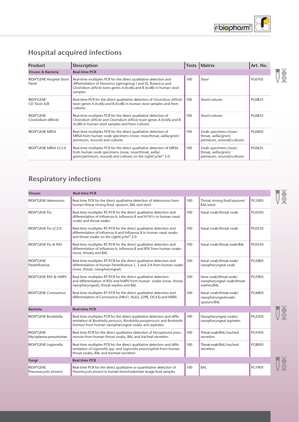

## **Hospital acquired infections**

| <b>Product</b>                     | <b>Description</b>                                                                                                                                                                                                        |     | Tests   Matrix                                                              | Art. No.      |
|------------------------------------|---------------------------------------------------------------------------------------------------------------------------------------------------------------------------------------------------------------------------|-----|-----------------------------------------------------------------------------|---------------|
| Viruses & Bacteria                 | <b>Real-time PCR</b>                                                                                                                                                                                                      |     |                                                                             |               |
| RIDA®GENE Hospital Stool<br>Panel  | Real-time multiplex PCR for the direct qualitative detection and<br>differentiation of Norovirus (genogroup I and II), Rotavirus and<br>Clostridium difficile toxin genes A (tcdA) and B (tcdB) in human stool<br>samples | 100 | Stool                                                                       | <b>PG0705</b> |
| RIDA®GENE<br>CD Toxin A/B          | Real-time PCR for the direct qualitative detection of Clostridium difficile<br>toxin genes A (tcdA) and B (tcdB) in human stool samples and from<br>cultures                                                              | 100 | Stool/cultures                                                              | <b>PG0825</b> |
| RIDA®GENE<br>Clostridium difficile | Real-time multiplex PCR for the direct qualitative detection of<br>Clostridium difficile and Clostridium difficile toxin genes A (tcdA) and B<br>(tcdB) in human stool samples and from cultures                          | 100 | Stool/cultures                                                              | PG0835        |
| RIDA®GENE MRSA                     | Real-time multiplex PCR for the direct qualitative detection of<br>MRSA from human swab specimens (nose, nose/throat, axilla/groin/<br>perineum, wound) and cultures                                                      | 100 | Swab specimens (nose/<br>throat, axilla/groin/<br>perineum, wound)/cultures | PG0605        |
| RIDA®GENE MRSA LC2.0               | Real-time multiplex PCR for the direct qualitative detection of MRSA<br>from human swab specimens (nose, nose/throat, axilla/<br>groin/perineum, wound) and cultures on the LightCycler® 2.0                              | 100 | Swab specimens (nose/<br>throat, axilla/groin/<br>perineum, wound)/cultures | PG0625        |

## **Respiratory infections**

| <b>Viruses</b>                      | <b>Real-time PCR</b>                                                                                                                                                                                             |     |                                                                    |               |
|-------------------------------------|------------------------------------------------------------------------------------------------------------------------------------------------------------------------------------------------------------------|-----|--------------------------------------------------------------------|---------------|
| <b>RIDA®GENE Adenovirus</b>         | Real-time PCR for the direct qualitative detection of Adenovirus from<br>human throat rinsing fluid, sputum, BAL and stool                                                                                       | 100 | Throat rinsing fluid/sputum/<br>BAL/stool                          | PG1005        |
| RIDA®GENE Flu                       | Real-time multiplex RT-PCR for the direct qualitative detection and<br>differentiation of Influenza A, Influenza B and H1N1v in human nasal<br>swabs and throat swabs                                            | 100 | Nasal swab/throat swab                                             | <b>PG0505</b> |
| RIDA®GENE Flu LC2.0                 | Real-time multiplex RT-PCR for the direct qualitative detection and<br>differentiation of Influenza A and Influenza B in human nasal swabs<br>and throat swabs on the LightCycler® 2.0                           | 100 | Nasal swab/throat swab                                             | <b>PG0525</b> |
| RIDA®GENE Flu & RSV                 | Real-time multiplex RT-PCR for the direct qualitative detection and<br>differentiation of Influenza A, Influenza B and RSV from human swabs<br>(nose, throat) and BAL                                            | 100 | Nasal swab/throat swab/BAL                                         | <b>PG0545</b> |
| RIDA®GENE<br>Parainfluenza          | Real-time multiplex RT-PCR for the direct qualitative detection and<br>differentiation of human Parainfluenza 1, 3 and 2/4 from human swabs<br>(nose, throat, nasopharyngeal)                                    | 100 | Nasal swab/throat swab/<br>nasopharyngeal swab                     | PG5805        |
| RIDA®GENE RSV & hMPV                | Real-time multiplex RT-PCR for the direct qualitative detection<br>and differentiation of RSV and hMPV from human swabs (nose, throat,<br>nasopharyngeal), throat washes and BAL                                 | 100 | Nose swab/throat swab/<br>nasopharyngeal swab/throat<br>washes/BAL | PG5905        |
| RIDA®GENE Coronavirus               | Real-time multiplex RT-PCR for the direct qualitative detection and<br>differentiation of Coronavirus (HKU1, NL63, 229E, OC43) and MERS                                                                          | 100 | Nasal swab/throat swab/<br>nasopharyngealswab/<br>sputum/BAL       | PG6805        |
| <b>Bacteria</b>                     | <b>Real-time PCR</b>                                                                                                                                                                                             |     |                                                                    |               |
| RIDA®GENE Bordetella                | Real-time multiplex PCR for the direct qualitative detection and diffe-<br>rentiation of Bordetella pertussis, Bordetella parapertussis and Bordetella<br>holmesii from human nasopharyngeal swabs and aspirates | 100 | Nasopharyngeal swabs/<br>nasopharyngeal aspirates                  | PG2505        |
| RIDA®GENE<br>Mycoplasma pneumoniae  | Real-time PCR for the direct qualitative detection of Mycoplasma pneu-<br>moniae from human throat swabs, BAL and tracheal secretion                                                                             | 100 | Throat swab/BAL/tracheal<br>secretion                              | PG4305        |
| RIDA®GENE Legionella                | Real-time multiplex PCR for the direct qualitative detection and diffe-<br>rentiation of Legionella spp. and Legionella pneumophila from human<br>throat swabs, BAL and tracheal secretion                       | 100 | Throat swab/BAL/tracheal<br>secretion                              | PG8005        |
| Fungi                               | <b>Real-time PCR</b>                                                                                                                                                                                             |     |                                                                    |               |
| RIDA®GENE<br>Pneumocystis jirovecii | Real-time PCR for the direct qualitative or quantitative detection of<br>Pneumocystis jirovecii in human bronchoalveolar lavage fluid samples                                                                    | 100 | BAL                                                                | PG1905        |

JA

JUNE

夏

 $\frac{1}{2}$